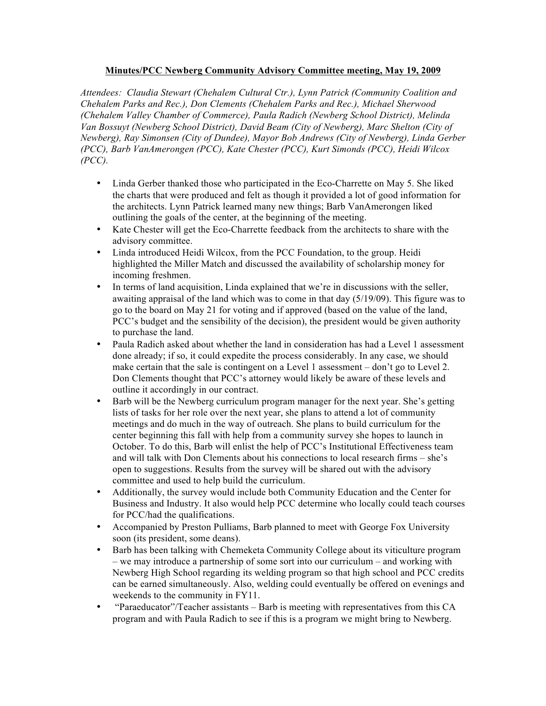## **Minutes/PCC Newberg Community Advisory Committee meeting, May 19, 2009**

*Attendees: Claudia Stewart (Chehalem Cultural Ctr.), Lynn Patrick (Community Coalition and Chehalem Parks and Rec.), Don Clements (Chehalem Parks and Rec.), Michael Sherwood (Chehalem Valley Chamber of Commerce), Paula Radich (Newberg School District), Melinda Van Bossuyt (Newberg School District), David Beam (City of Newberg), Marc Shelton (City of Newberg), Ray Simonsen (City of Dundee), Mayor Bob Andrews (City of Newberg), Linda Gerber (PCC), Barb VanAmerongen (PCC), Kate Chester (PCC), Kurt Simonds (PCC), Heidi Wilcox (PCC).*

- Linda Gerber thanked those who participated in the Eco-Charrette on May 5. She liked the charts that were produced and felt as though it provided a lot of good information for the architects. Lynn Patrick learned many new things; Barb VanAmerongen liked outlining the goals of the center, at the beginning of the meeting.
- Kate Chester will get the Eco-Charrette feedback from the architects to share with the advisory committee.
- Linda introduced Heidi Wilcox, from the PCC Foundation, to the group. Heidi highlighted the Miller Match and discussed the availability of scholarship money for incoming freshmen.
- In terms of land acquisition, Linda explained that we're in discussions with the seller, awaiting appraisal of the land which was to come in that day (5/19/09). This figure was to go to the board on May 21 for voting and if approved (based on the value of the land, PCC's budget and the sensibility of the decision), the president would be given authority to purchase the land.
- Paula Radich asked about whether the land in consideration has had a Level 1 assessment done already; if so, it could expedite the process considerably. In any case, we should make certain that the sale is contingent on a Level 1 assessment – don't go to Level 2. Don Clements thought that PCC's attorney would likely be aware of these levels and outline it accordingly in our contract.
- Barb will be the Newberg curriculum program manager for the next year. She's getting lists of tasks for her role over the next year, she plans to attend a lot of community meetings and do much in the way of outreach. She plans to build curriculum for the center beginning this fall with help from a community survey she hopes to launch in October. To do this, Barb will enlist the help of PCC's Institutional Effectiveness team and will talk with Don Clements about his connections to local research firms – she's open to suggestions. Results from the survey will be shared out with the advisory committee and used to help build the curriculum.
- Additionally, the survey would include both Community Education and the Center for Business and Industry. It also would help PCC determine who locally could teach courses for PCC/had the qualifications.
- Accompanied by Preston Pulliams, Barb planned to meet with George Fox University soon (its president, some deans).
- Barb has been talking with Chemeketa Community College about its viticulture program – we may introduce a partnership of some sort into our curriculum – and working with Newberg High School regarding its welding program so that high school and PCC credits can be earned simultaneously. Also, welding could eventually be offered on evenings and weekends to the community in FY11.
- "Paraeducator"/Teacher assistants Barb is meeting with representatives from this CA program and with Paula Radich to see if this is a program we might bring to Newberg.